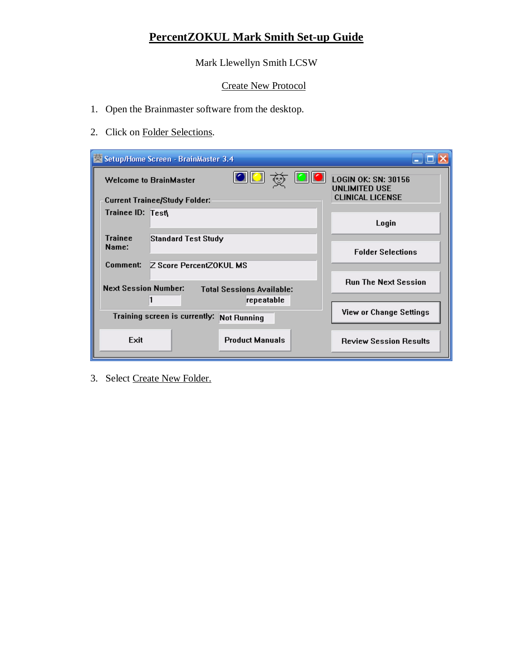## **PercentZOKUL Mark Smith Set-up Guide**

Mark Llewellyn Smith LCSW

## Create New Protocol

- 1. Open the Brainmaster software from the desktop.
- 2. Click on Folder Selections.

| Setup/Home Screen - BrainMaster 3.4                                                                    |                                                    |
|--------------------------------------------------------------------------------------------------------|----------------------------------------------------|
| <b>Welcome to BrainMaster</b>                                                                          | <b>LOGIN OK: SN: 30156</b><br><b>UNLIMITED USE</b> |
| <b>Current Trainee/Study Folder:</b>                                                                   | <b>CLINICAL LICENSE</b>                            |
| Trainee ID: Test\                                                                                      | Login                                              |
| <b>Trainee</b><br>Standard Test Study<br>Name:                                                         | <b>Folder Selections</b>                           |
| Comment:<br>Z Score PercentZOKUL MS<br><b>Next Session Number:</b><br><b>Total Sessions Available:</b> | <b>Run The Next Session</b>                        |
| repeatable                                                                                             |                                                    |
| Training screen is currently:<br><b>Not Running</b>                                                    | <b>View or Change Settings</b>                     |
| Exit<br><b>Product Manuals</b>                                                                         | <b>Review Session Results</b>                      |

3. Select Create New Folder.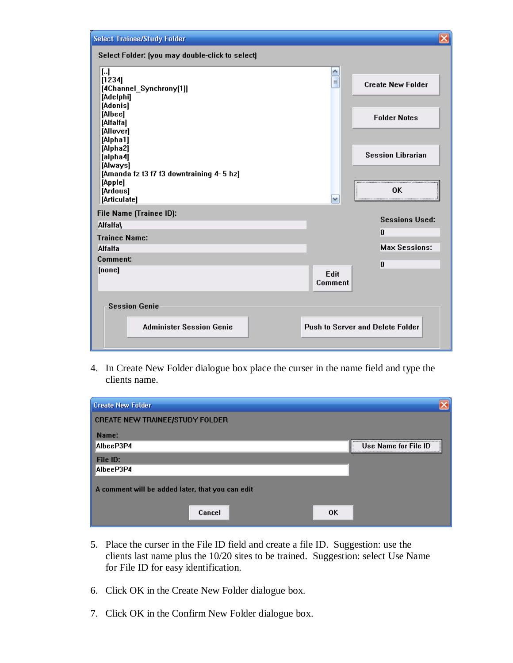| <b>Select Trainee/Study Folder</b>                                                                                                                                                                                                       |                                                                                                         | $\overline{\mathsf{x}}$ |
|------------------------------------------------------------------------------------------------------------------------------------------------------------------------------------------------------------------------------------------|---------------------------------------------------------------------------------------------------------|-------------------------|
| Select Folder: (you may double-click to select)                                                                                                                                                                                          |                                                                                                         |                         |
| IJ<br>[1234]<br>[4Channel_Synchrony[1]]<br>[Adelphi]<br>[Adonis]<br>[Albee]<br>[Alfalfa]<br>[Allover]<br>[Alpha1]<br>[Alpha2]<br>[alpha4]<br>[Always]<br>[Amanda fz t3 f7 f3 downtraining 4-5 hz]<br>[Apple]<br>[Ardous]<br>[Articulate] | ۸<br>$\equiv$<br><b>Create New Folder</b><br><b>Folder Notes</b><br><b>Session Librarian</b><br>0K<br>v |                         |
| File Name [Trainee ID]:<br>Alfalfa\                                                                                                                                                                                                      | <b>Sessions Used:</b>                                                                                   |                         |
| <b>Trainee Name:</b><br><b>Alfalfa</b>                                                                                                                                                                                                   | $\bf{0}$<br><b>Max Sessions:</b>                                                                        |                         |
| Comment:<br>[none]                                                                                                                                                                                                                       | O                                                                                                       |                         |
|                                                                                                                                                                                                                                          | Edit<br><b>Comment</b>                                                                                  |                         |
| <b>Session Genie</b><br><b>Administer Session Genie</b>                                                                                                                                                                                  | <b>Push to Server and Delete Folder</b>                                                                 |                         |

4. In Create New Folder dialogue box place the curser in the name field and type the clients name.

| <b>Create New Folder</b>                         |                      |
|--------------------------------------------------|----------------------|
| CREATE NEW TRAINEE/STUDY FOLDER                  |                      |
| Name:                                            |                      |
| AlbeeP3P4                                        | Use Name for File ID |
| File ID:                                         |                      |
| AlbeeP3P4                                        |                      |
| A comment will be added later, that you can edit |                      |
| Cancel<br>0K                                     |                      |

- 5. Place the curser in the File ID field and create a file ID. Suggestion: use the clients last name plus the 10/20 sites to be trained. Suggestion: select Use Name for File ID for easy identification.
- 6. Click OK in the Create New Folder dialogue box.
- 7. Click OK in the Confirm New Folder dialogue box.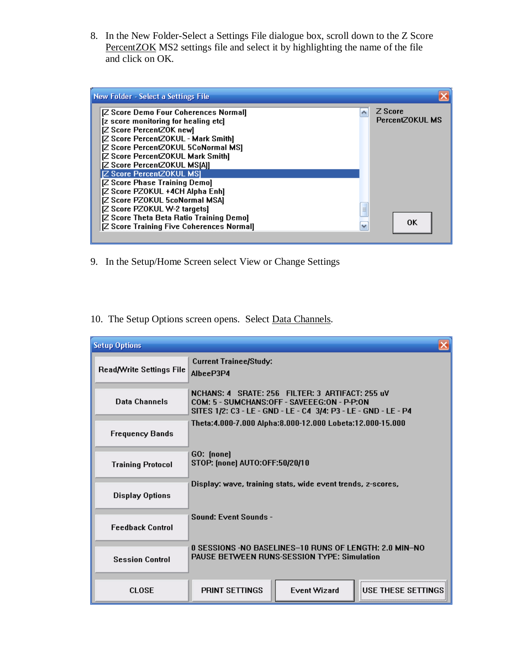8. In the New Folder-Select a Settings File dialogue box, scroll down to the Z Score PercentZOK MS2 settings file and select it by highlighting the name of the file and click on OK.



- 9. In the Setup/Home Screen select View or Change Settings
- 10. The Setup Options screen opens. Select Data Channels.

| <b>Setup Options</b>     |                                                                                                                                                                   |                     |                   |
|--------------------------|-------------------------------------------------------------------------------------------------------------------------------------------------------------------|---------------------|-------------------|
| Read/Write Settings File | <b>Current Trainee/Study:</b><br>AlbeeP3P4                                                                                                                        |                     |                   |
| Data Channels            | NCHANS: 4 SRATE: 256 FILTER: 3 ARTIFACT: 255 uV<br>COM: 5 - SUMCHANS:OFF - SAVEEEG:ON - P-P:ON<br>SITES 1/2: C3 - LE - GND - LE - C4 3/4: P3 - LE - GND - LE - P4 |                     |                   |
| <b>Frequency Bands</b>   | Theta: 4.000-7.000 Alpha: 8.000-12.000 Lobeta: 12.000-15.000                                                                                                      |                     |                   |
| <b>Training Protocol</b> | GO: (none)<br>STOP: (none) AUTO:OFF:50/20/10                                                                                                                      |                     |                   |
| <b>Display Options</b>   | Display: wave, training stats, wide event trends, z-scores,                                                                                                       |                     |                   |
| <b>Feedback Control</b>  | Sound: Event Sounds -                                                                                                                                             |                     |                   |
| <b>Session Control</b>   | 0 SESSIONS -NO BASELINES-10 RUNS OF LENGTH: 2.0 MIN-NO<br><b>PAUSE BETWEEN RUNS-SESSION TYPE: Simulation</b>                                                      |                     |                   |
| <b>CLOSE</b>             | <b>PRINT SETTINGS</b>                                                                                                                                             | <b>Event Wizard</b> | USE THESE SETTING |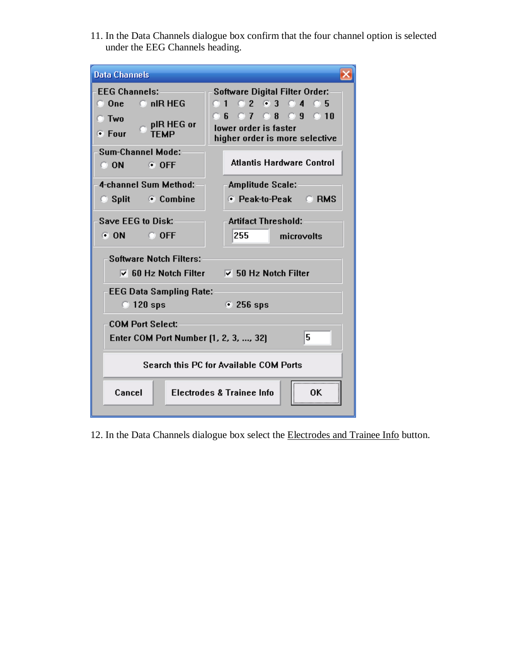11. In the Data Channels dialogue box confirm that the four channel option is selected under the EEG Channels heading.

| <b>Data Channels</b>                                                                                                       |                                                                                                                                   |  |  |
|----------------------------------------------------------------------------------------------------------------------------|-----------------------------------------------------------------------------------------------------------------------------------|--|--|
| <b>EEG Channels:</b><br>$\bullet$ nIR HEG<br>$\bigcirc$ One<br><b>C</b> Two<br>pIR HEG or<br>$\bullet$ Four<br><b>TFMP</b> | <b>Software Digital Filter Order:</b><br>0102030405<br>06 07 08 09 010<br>lower order is faster<br>higher order is more selective |  |  |
| <b>Sum-Channel Mode:</b><br>$\bigcirc$ ON $\bigcirc$<br>$\odot$ OFF                                                        | <b>Atlantis Hardware Control</b>                                                                                                  |  |  |
| 4-channel Sum Method:                                                                                                      | <b>Amplitude Scale:</b>                                                                                                           |  |  |
| $\circ$ Split<br>⊙ Combine                                                                                                 | ⊙ Peak-to-Peak © RMS                                                                                                              |  |  |
| Save EEG to Disk:<br><b>CON</b><br>$C$ OFF                                                                                 | <b>Artifact Threshold:</b><br>255<br>microvolts                                                                                   |  |  |
| <b>Software Notch Filters:</b><br>$\triangledown$ 60 Hz Notch Filter                                                       | $\nabla$ 50 Hz Notch Filter                                                                                                       |  |  |
| <b>EEG Data Sampling Rate:</b><br>$\odot$ 120 sps                                                                          | $\odot$ 256 sps                                                                                                                   |  |  |
| <b>COM Port Select:</b><br>Enter COM Port Number (1, 2, 3, , 32)                                                           | 5                                                                                                                                 |  |  |
| <b>Search this PC for Available COM Ports</b>                                                                              |                                                                                                                                   |  |  |
| Cancel                                                                                                                     | <b>Electrodes &amp; Trainee Info</b><br>0K                                                                                        |  |  |

12. In the Data Channels dialogue box select the Electrodes and Trainee Info button.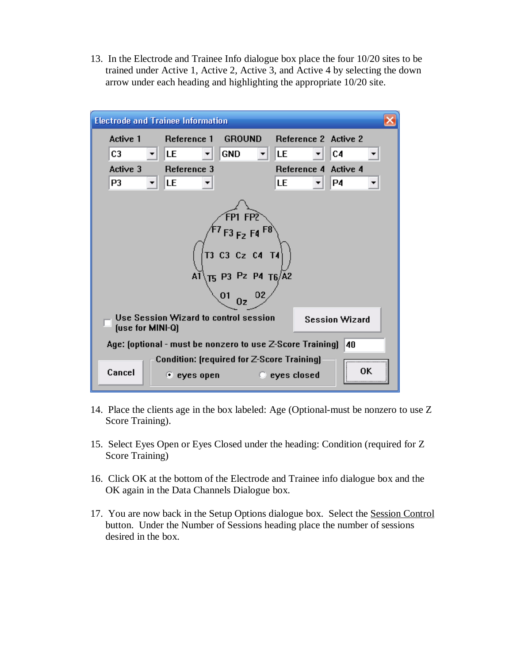13. In the Electrode and Trainee Info dialogue box place the four 10/20 sites to be trained under Active 1, Active 2, Active 3, and Active 4 by selecting the down arrow under each heading and highlighting the appropriate 10/20 site.

| <b>Electrode and Trainee Information</b>                                                  |                                                                          |               |                       |         |  |
|-------------------------------------------------------------------------------------------|--------------------------------------------------------------------------|---------------|-----------------------|---------|--|
| Active 1                                                                                  | Reference 1                                                              | <b>GROUND</b> | Reference 2 Active 2  |         |  |
| C <sub>3</sub>                                                                            | LE                                                                       | <b>GND</b>    | ILE.                  | C4      |  |
| Active 3                                                                                  | Reference 3                                                              |               | Reference 4 Active 4  |         |  |
| P3                                                                                        | LE                                                                       |               | LE                    | P4      |  |
| ép1 FP2<br>$F3F_2F4F8$<br>T3 C3 Cz C4 T4<br>AĪ<br>T5 P3 Pz P4 T6/A2<br>01<br>02<br>0z     |                                                                          |               |                       |         |  |
| <b>Use Session Wizard to control session</b><br><b>Session Wizard</b><br>(use for MINI-Q) |                                                                          |               |                       |         |  |
| Age: [optional - must be nonzero to use Z-Score Training]<br>40                           |                                                                          |               |                       |         |  |
| Cancel                                                                                    | <b>Condition: [required for Z-Score Training]</b><br>$\bullet$ eyes open |               | $\bullet$ eyes closed | 0K.<br> |  |

- 14. Place the clients age in the box labeled: Age (Optional-must be nonzero to use Z Score Training).
- 15. Select Eyes Open or Eyes Closed under the heading: Condition (required for Z Score Training)
- 16. Click OK at the bottom of the Electrode and Trainee info dialogue box and the OK again in the Data Channels Dialogue box.
- 17. You are now back in the Setup Options dialogue box. Select the Session Control button. Under the Number of Sessions heading place the number of sessions desired in the box.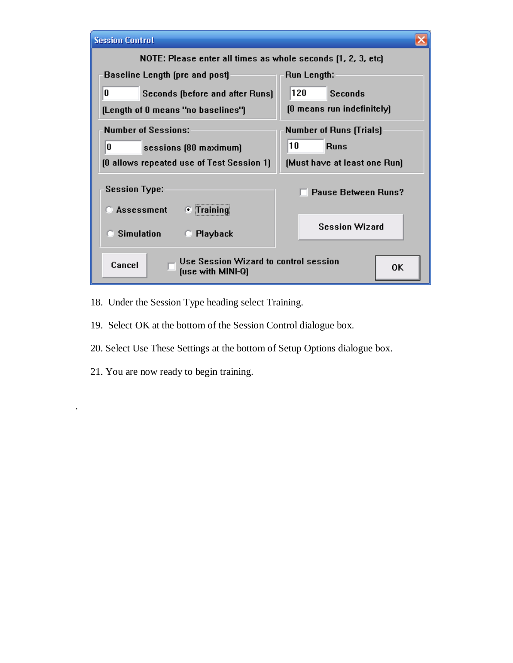| <b>Session Control</b>                                               |                                |
|----------------------------------------------------------------------|--------------------------------|
| NOTE: Please enter all times as whole seconds (1, 2, 3, etc)         |                                |
| Baseline Length (pre and post)                                       | Run Length:                    |
| U<br>Seconds (before and after Runs)                                 | 120<br><b>Seconds</b>          |
| (Length of 0 means "no baselines")                                   | [0 means run indefinitely]     |
| <b>Number of Sessions:</b>                                           | <b>Number of Runs (Trials)</b> |
| O<br>sessions (80 maximum)                                           | 10<br><b>Runs</b>              |
| [O allows repeated use of Test Session 1]                            | [Must have at least one Run]   |
| <b>Session Type:</b>                                                 | <b>Pause Between Runs?</b>     |
| <b>Assessment</b><br>$\bullet$ Training                              |                                |
| <b>Simulation</b><br>Playback<br>IJ.                                 | <b>Session Wizard</b>          |
| Use Session Wizard to control session<br>Cancel<br>(use with MINI-Q) | 0K                             |

- 18. Under the Session Type heading select Training.
- 19. Select OK at the bottom of the Session Control dialogue box.
- 20. Select Use These Settings at the bottom of Setup Options dialogue box.
- 21. You are now ready to begin training.

.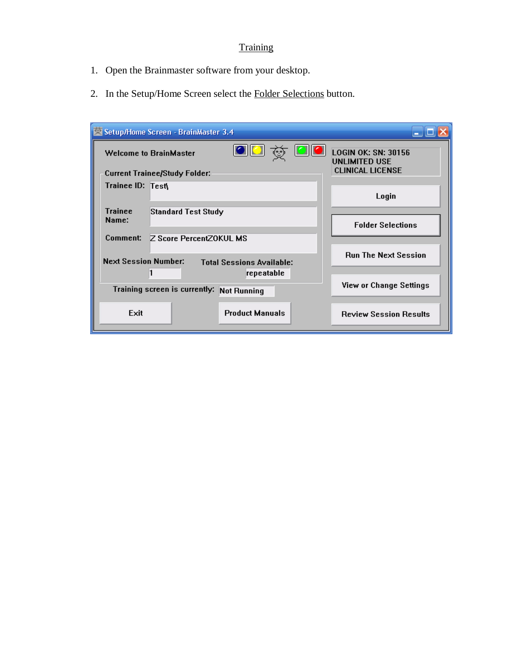## **Training**

- 1. Open the Brainmaster software from your desktop.
- 2. In the Setup/Home Screen select the Folder Selections button.

| Setup/Home Screen - BrainMaster 3.4                             |                                                    |
|-----------------------------------------------------------------|----------------------------------------------------|
| <b>Welcome to BrainMaster</b>                                   | <b>LOGIN OK: SN: 30156</b><br><b>UNLIMITED USE</b> |
| <b>Current Trainee/Study Folder:</b>                            | <b>CLINICAL LICENSE</b>                            |
| Trainee ID: Test\                                               | Login                                              |
| <b>Trainee</b><br>Standard Test Study<br>Name:                  | <b>Folder Selections</b>                           |
| Comment:<br><b>Z Score PercentZOKUL MS</b>                      |                                                    |
| <b>Next Session Number:</b><br><b>Total Sessions Available:</b> | <b>Run The Next Session</b>                        |
| repeatable                                                      |                                                    |
| Training screen is currently:<br><b>Not Running</b>             | View or Change Settings                            |
| <b>Product Manuals</b><br>Exit                                  | <b>Review Session Results</b>                      |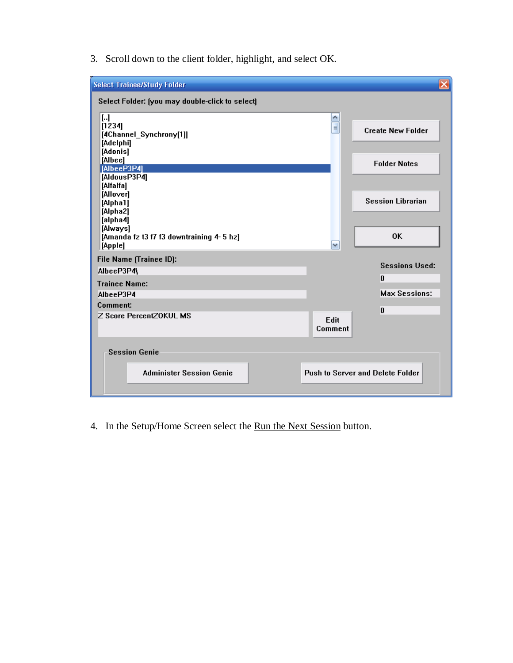3. Scroll down to the client folder, highlight, and select OK.

| <b>Select Trainee/Study Folder</b>                                |                 | $\overline{\mathsf{x}}$          |
|-------------------------------------------------------------------|-----------------|----------------------------------|
| Select Folder: (you may double-click to select)                   |                 |                                  |
| […]<br>[1234]<br>[4Channel_Synchrony[1]]<br>[Adelphi]<br>[Adonis] | $\equiv$        | <b>Create New Folder</b>         |
| [Albee]<br>[AlbeeP3P4]                                            |                 | <b>Folder Notes</b>              |
| [AldousP3P4]<br>[Alfalfa]                                         |                 |                                  |
| [Allover]<br>[Alpha1]<br>[Alpha2]<br>[alpha4]                     |                 | <b>Session Librarian</b>         |
| [Always]<br>[Amanda fz t3 f7 f3 downtraining 4-5 hz]<br>[Apple]   | v               | 0K                               |
| File Name (Trainee ID):                                           |                 | <b>Sessions Used:</b>            |
| AlbeeP3P4\                                                        |                 | 0                                |
| <b>Trainee Name:</b>                                              |                 |                                  |
| AlbeeP3P4                                                         |                 | <b>Max Sessions:</b>             |
| Comment:<br>Z Score PercentZOKUL MS                               |                 | O                                |
|                                                                   | Edit<br>Comment |                                  |
| <b>Session Genie</b>                                              |                 |                                  |
| <b>Administer Session Genie</b>                                   |                 | Push to Server and Delete Folder |

4. In the Setup/Home Screen select the Run the Next Session button.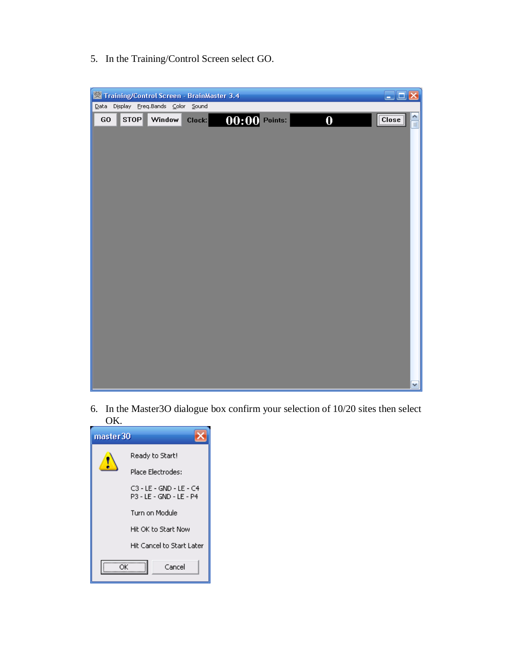5. In the Training/Control Screen select GO.



6. In the Master3O dialogue box confirm your selection of 10/20 sites then select OK.

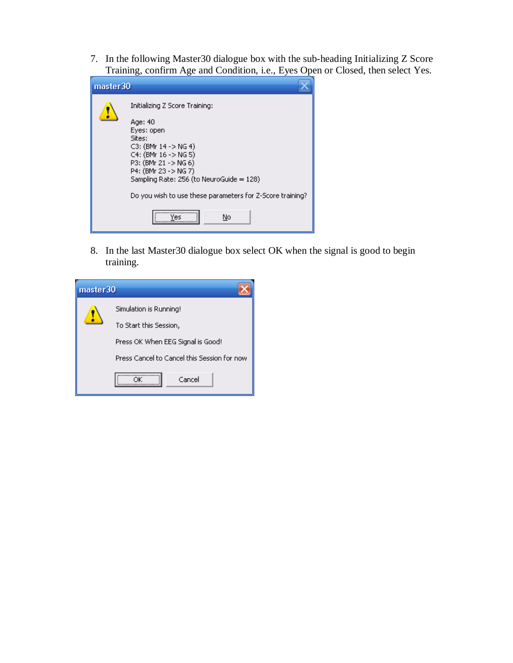7. In the following Master30 dialogue box with the sub-heading Initializing Z Score Training, confirm Age and Condition, i.e., Eyes Open or Closed, then select Yes.

| master 30 |                                                                                                                                                                                                                                                                                                 |
|-----------|-------------------------------------------------------------------------------------------------------------------------------------------------------------------------------------------------------------------------------------------------------------------------------------------------|
|           | Initializing Z Score Training:<br>Age: 40<br>Eyes: open<br>Sites:<br>$C3$ : (BMr 14 -> NG 4)<br>$C4$ : (BMr 16 -> NG 5)<br>P3: (BMr 21 - > NG 6)<br>P4: (BMr 23 - > NG 7)<br>Sampling Rate: 256 (to NeuroGuide = 128)<br>Do you wish to use these parameters for Z-Score training?<br>No<br>Vec |

8. In the last Master30 dialogue box select OK when the signal is good to begin training.

| master 30 |                                             |  |  |  |
|-----------|---------------------------------------------|--|--|--|
|           | Simulation is Running!                      |  |  |  |
|           | To Start this Session,                      |  |  |  |
|           | Press OK When EEG Signal is Good!           |  |  |  |
|           | Press Cancel to Cancel this Session for now |  |  |  |
|           | Cancel                                      |  |  |  |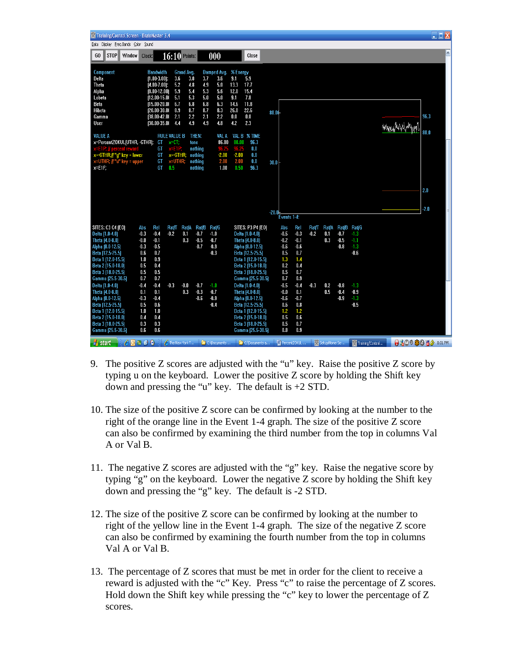| X Training/Control Screen - BrainMaster 3.4                                                                                                                                                                                                                                                                 |                                                                                                                                                                                                                                                                                                                 |                                                                                                                                                                                                  |                                                                                                                                                                                        |                                                                                                                                                           |                                                                                     |                                                          | $\Box$ $\Box$ $\times$ |
|-------------------------------------------------------------------------------------------------------------------------------------------------------------------------------------------------------------------------------------------------------------------------------------------------------------|-----------------------------------------------------------------------------------------------------------------------------------------------------------------------------------------------------------------------------------------------------------------------------------------------------------------|--------------------------------------------------------------------------------------------------------------------------------------------------------------------------------------------------|----------------------------------------------------------------------------------------------------------------------------------------------------------------------------------------|-----------------------------------------------------------------------------------------------------------------------------------------------------------|-------------------------------------------------------------------------------------|----------------------------------------------------------|------------------------|
| Data Display Freq.Bands Color Sound                                                                                                                                                                                                                                                                         |                                                                                                                                                                                                                                                                                                                 |                                                                                                                                                                                                  |                                                                                                                                                                                        |                                                                                                                                                           |                                                                                     |                                                          |                        |
| <b>STOP</b><br>GO<br>Window<br>Clock:                                                                                                                                                                                                                                                                       | $16:10$ Points:                                                                                                                                                                                                                                                                                                 | 000                                                                                                                                                                                              | Close                                                                                                                                                                                  |                                                                                                                                                           |                                                                                     |                                                          | ٨                      |
| Component<br>Delta<br>Theta<br>Alpha<br>Lobeta<br>Beta<br>Hibeta<br>Gamma<br>User                                                                                                                                                                                                                           | <b>Bandwidth</b><br>Grand Avg.<br>$[1.00 - 3.00]$ :<br>3.6<br>3.8<br>5.2<br>4.8<br>$[4.00 - 7.00]$ :<br>5.9<br>$[8.00 - 12.00]$<br>5.4<br>5.3<br>(12.00-15.01<br>5.1<br>$(15.00 - 20.01)$<br>6.7<br>6.8<br>$[20.00 - 30.01]$<br>8.9<br>8.7<br>$(38.00 - 42.01$<br>2.1<br>2.2<br>4.9<br>$(30.00 - 35.01)$<br>4.4 | Damped Avg. % Energy<br>3.7<br>3.6<br>9.1<br>4.9<br>5.0<br>13.3<br>12.0<br>5.3<br>5.6<br>5.0<br>5.0<br>9.1<br>6.8<br>6.3<br>14.6<br>26.0<br>8.7<br>8.3<br>2.1<br>2.2<br>0.0<br>4.9<br>4.8<br>4.2 | 5.9<br>17.7<br>15.4<br>7.8<br>11.8<br>22.6<br>80.00<br>0.0<br>2.3                                                                                                                      |                                                                                                                                                           |                                                                                     | www.uMaval.m                                             | 96.3                   |
| <b>VALUE A</b><br>x=PercentZ0KUL[UTHR, -GTHR);<br>ET PO<br>iercent reward<br>x=-GTHR;// "g" key = lower<br>$x = E1F$ ;                                                                                                                                                                                      | <b>RULE VALUE B</b><br>GT<br>$x=CT$<br>GT<br>$x=ETP$<br>GT<br>$x = GTHR$ ;<br>GT<br>x=UTHR;<br>GT<br>0.5                                                                                                                                                                                                        | THEN:<br>VAL A<br>86.00<br>80.00<br>tone<br>96.25<br>nothing<br>96.25<br>$-2.00$<br>$-2.00$<br>nothing<br>2.00<br>nothing<br>2.00<br>0.50<br>1.00<br>nothing                                     | VAL B % TIME<br>96.3<br>0.0<br>0.0<br>0.0<br>$30.0+$<br>96.3                                                                                                                           |                                                                                                                                                           |                                                                                     |                                                          | 80.0<br>2.0            |
|                                                                                                                                                                                                                                                                                                             |                                                                                                                                                                                                                                                                                                                 |                                                                                                                                                                                                  | $-20.0$                                                                                                                                                                                | Events 1-4:                                                                                                                                               |                                                                                     |                                                          | $-2.0$                 |
| SITES: C3 C4 (EO)<br>Abs<br>$-0.3$<br>Delta (1.0-4.0)<br>$-0.0$<br>Theta (4.0-8.0)<br>Alpha (8.0-12.5)<br>$-0.3$<br>0.6<br>Beta [12.5-25.5]<br>1.0<br>Beta 1 (12.0-15.5)<br>0.5<br>Beta 2 (15.0-18.0)<br>0.5<br>Beta 3 (18.0-25.5)<br>Gamma (25.5-30.5)<br>0.7                                              | Rel<br>Rat/A<br>Rat/T<br>$-0.4$<br>0.1<br>$-0.2$<br>$-0.1$<br>0.3<br>$-0.5$<br>0.7<br>0.9<br>0.4<br>0.5<br>0.7                                                                                                                                                                                                  | <b>Rat/B</b><br>Rat/G<br>$-0.7$<br>$-1.0$<br>$-0.5$<br>$-0.7$<br>$-0.7$<br>$-0.9$<br>$-0.3$                                                                                                      | SITES: P3 P4 (E0)<br>Delta (1.0-4.0)<br>Theta (4.0-8.0)<br>Alpha (8.0-12.5)<br>Beta (12.5-25.5)<br>Beta 1 (12.0-15.5)<br>Beta 2 (15.0-18.0)<br>Beta 3 (18.0-25.5)<br>Gamma (25.5-30.5) | Abs<br>Rel<br>$-0.3$<br>$-0.5$<br>$-0.1$<br>$-0.2$<br>$-0.6$<br>$-0.6$<br>0.5<br>0.7<br>1.3<br>1.4<br>0.2<br>0.4<br>0.5<br>0.7<br>0.7<br>0.9              | Rat/T<br>Rat/B Rat/G<br>Rat/A<br>$-0.2$<br>$-0.7$<br>0.1<br>$-0.5$<br>0.3<br>$-0.8$ | -1.3<br>-1.1<br>$-1.3$<br>$-0.6$                         |                        |
| $-0.4$<br>Delta (1.0-4.0)<br>Theta (4.0-8.0)<br>0.1<br>Alpha [8.0-12.5]<br>$-0.3$<br>0.5<br>Beta (12.5-25.5)<br>1.0<br>Beta 1 (12.0-15.5)<br>0.4<br>Beta 2 (15.0-18.0)<br>0.3<br>Beta 3 (18.0-25.5)<br>0.6<br>Gamma (25.5-30.5)<br>$P$ <b>0</b> $\mathbf{u}$ $\mathbf{e}$ <b>0</b><br><b><i>H</i></b> start | $-0.4$<br>$-0.3$<br>$-0.0$<br>0.1<br>0.3<br>$-0.4$<br>0.6<br>1.0<br>0.4<br>0.3<br>0.6<br>File New York T                                                                                                                                                                                                        | $-0.7$<br>$-1.0$<br>$-0.3$<br>$-0.7$<br>$-0.6$<br>$-0.9$<br>$-0.4$<br>C:\Documents                                                                                                               | Delta (1.0-4.0)<br>Theta [4.0-8.0]<br>Alpha (8.0-12.5)<br>Beta (12.5-25.5)<br>Beta 1 (12.0-15.5)<br>Beta 2 [15.0-18.0]<br>Beta 3 [18.0-25.5]<br>Gamma (25.5-30.5)<br>C:\Documents a    | $-0.5$<br>$-0.4$<br>$-0.0$<br>0.1<br>$-0.6$<br>$-0.7$<br>0.8<br>0.6<br>1.2<br>1.2<br>0.5<br>0.6<br>0.7<br>$0.5\,$<br>0.8<br>0.9<br><b>EN</b> PercentZOKUL | $-0.3$<br>0.2<br>$-0.8$<br>0.5<br>$-0.4$<br>$-0.9$<br>Setup/Home Scr                | $-1.3$<br>$-0.9$<br>$-1.3$<br>$-0.5$<br>Training/Control | 0.8008361              |

- 9. The positive Z scores are adjusted with the "u" key. Raise the positive Z score by typing u on the keyboard. Lower the positive Z score by holding the Shift key down and pressing the "u" key. The default is +2 STD.
- 10. The size of the positive Z score can be confirmed by looking at the number to the right of the orange line in the Event 1-4 graph. The size of the positive Z score can also be confirmed by examining the third number from the top in columns Val A or Val B.
- 11. The negative Z scores are adjusted with the "g" key. Raise the negative score by typing "g" on the keyboard. Lower the negative Z score by holding the Shift key down and pressing the "g" key. The default is -2 STD.
- 12. The size of the positive Z score can be confirmed by looking at the number to right of the yellow line in the Event 1-4 graph. The size of the negative Z score can also be confirmed by examining the fourth number from the top in columns Val A or Val B.
- 13. The percentage of Z scores that must be met in order for the client to receive a reward is adjusted with the "c" Key. Press "c" to raise the percentage of Z scores. Hold down the Shift key while pressing the "c" key to lower the percentage of Z scores.